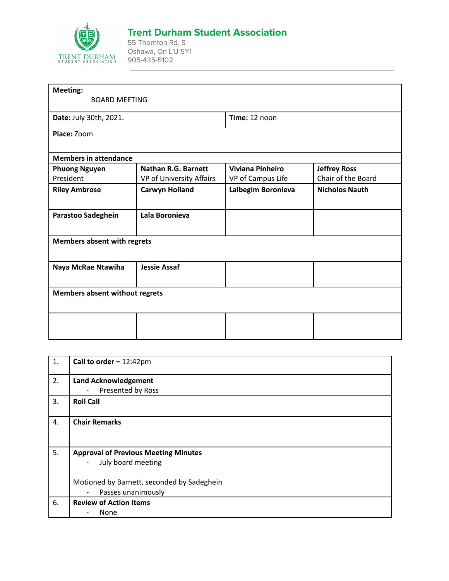

## **Trent Durham Student Association**

55 Thornton Rd. S Oshawa, On L1J 5Y1 905-435-5102

| <b>Meeting:</b>                       |                            |                         |                       |
|---------------------------------------|----------------------------|-------------------------|-----------------------|
| <b>BOARD MEETING</b>                  |                            |                         |                       |
| Date: July 30th, 2021.                |                            | Time: 12 noon           |                       |
| Place: Zoom                           |                            |                         |                       |
| <b>Members in attendance</b>          |                            |                         |                       |
| <b>Phuong Nguyen</b>                  | <b>Nathan R.G. Barnett</b> | <b>Viviana Pinheiro</b> | <b>Jeffrey Ross</b>   |
| President                             | VP of University Affairs   | VP of Campus Life       | Chair of the Board    |
| <b>Riley Ambrose</b>                  | <b>Carwyn Holland</b>      | Lalbegim Boronieva      | <b>Nicholos Nauth</b> |
| Parastoo Sadeghein                    | Lala Boronieva             |                         |                       |
| <b>Members absent with regrets</b>    |                            |                         |                       |
| Naya McRae Ntawiha                    | <b>Jessie Assaf</b>        |                         |                       |
| <b>Members absent without regrets</b> |                            |                         |                       |
|                                       |                            |                         |                       |
|                                       |                            |                         |                       |

| 1. | Call to order $-12:42 \text{pm}$               |
|----|------------------------------------------------|
| 2. | <b>Land Acknowledgement</b>                    |
|    | Presented by Ross<br>$\overline{\phantom{a}}$  |
| 3. | <b>Roll Call</b>                               |
| 4. | <b>Chair Remarks</b>                           |
| 5. | <b>Approval of Previous Meeting Minutes</b>    |
|    | July board meeting<br>$\qquad \qquad -$        |
|    | Motioned by Barnett, seconded by Sadeghein     |
|    | Passes unanimously<br>$\overline{\phantom{a}}$ |
| 6. | <b>Review of Action Items</b>                  |
|    | None                                           |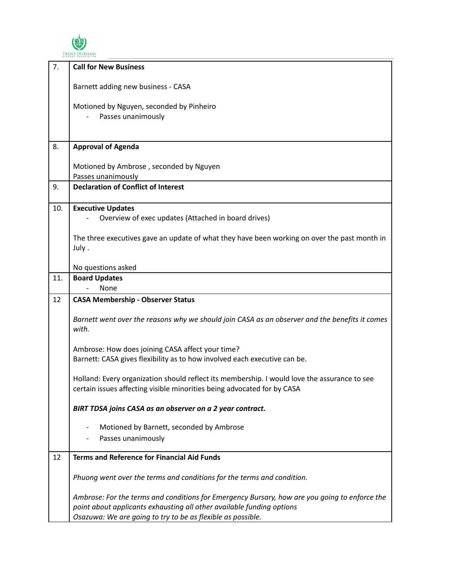

| 7.  | <b>Call for New Business</b>                                                                                                                                            |
|-----|-------------------------------------------------------------------------------------------------------------------------------------------------------------------------|
|     | Barnett adding new business - CASA                                                                                                                                      |
|     |                                                                                                                                                                         |
|     | Motioned by Nguyen, seconded by Pinheiro                                                                                                                                |
|     | Passes unanimously                                                                                                                                                      |
|     |                                                                                                                                                                         |
| 8.  | <b>Approval of Agenda</b>                                                                                                                                               |
|     | Motioned by Ambrose, seconded by Nguyen                                                                                                                                 |
|     | Passes unanimously                                                                                                                                                      |
| 9.  | <b>Declaration of Conflict of Interest</b>                                                                                                                              |
| 10. | <b>Executive Updates</b>                                                                                                                                                |
|     | Overview of exec updates (Attached in board drives)                                                                                                                     |
|     | The three executives gave an update of what they have been working on over the past month in                                                                            |
|     | July.                                                                                                                                                                   |
|     | No questions asked                                                                                                                                                      |
| 11. | <b>Board Updates</b>                                                                                                                                                    |
|     | None                                                                                                                                                                    |
| 12  | <b>CASA Membership - Observer Status</b>                                                                                                                                |
|     | Barnett went over the reasons why we should join CASA as an observer and the benefits it comes<br>with.                                                                 |
|     | Ambrose: How does joining CASA affect your time?                                                                                                                        |
|     | Barnett: CASA gives flexibility as to how involved each executive can be.                                                                                               |
|     | Holland: Every organization should reflect its membership. I would love the assurance to see<br>certain issues affecting visible minorities being advocated for by CASA |
|     |                                                                                                                                                                         |
|     | BIRT TDSA joins CASA as an observer on a 2 year contract.                                                                                                               |
|     | Motioned by Barnett, seconded by Ambrose                                                                                                                                |
|     | Passes unanimously                                                                                                                                                      |
| 12  | <b>Terms and Reference for Financial Aid Funds</b>                                                                                                                      |
|     | Phuong went over the terms and conditions for the terms and condition.                                                                                                  |
|     | Ambrose: For the terms and conditions for Emergency Bursary, how are you going to enforce the                                                                           |
|     | point about applicants exhausting all other available funding options                                                                                                   |
|     | Osazuwa: We are going to try to be as flexible as possible.                                                                                                             |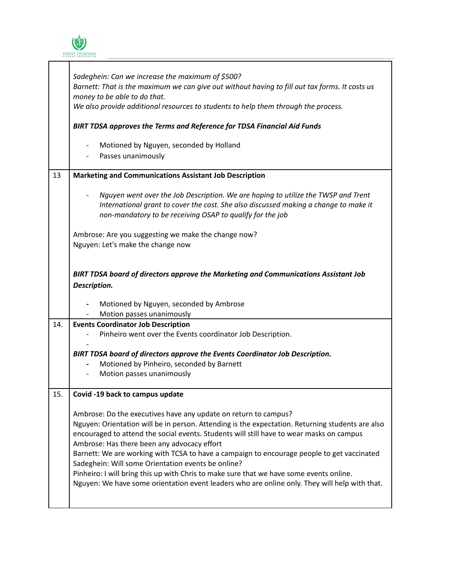

|     | Sadeghein: Can we increase the maximum of \$500?<br>Barnett: That is the maximum we can give out without having to fill out tax forms. It costs us<br>money to be able to do that.<br>We also provide additional resources to students to help them through the process.                                                                                                                                                                                                                                                                                                                                                                                       |  |  |  |
|-----|----------------------------------------------------------------------------------------------------------------------------------------------------------------------------------------------------------------------------------------------------------------------------------------------------------------------------------------------------------------------------------------------------------------------------------------------------------------------------------------------------------------------------------------------------------------------------------------------------------------------------------------------------------------|--|--|--|
|     | BIRT TDSA approves the Terms and Reference for TDSA Financial Aid Funds                                                                                                                                                                                                                                                                                                                                                                                                                                                                                                                                                                                        |  |  |  |
|     | Motioned by Nguyen, seconded by Holland<br>$\overline{\phantom{a}}$<br>Passes unanimously                                                                                                                                                                                                                                                                                                                                                                                                                                                                                                                                                                      |  |  |  |
| 13  | <b>Marketing and Communications Assistant Job Description</b>                                                                                                                                                                                                                                                                                                                                                                                                                                                                                                                                                                                                  |  |  |  |
|     | Nguyen went over the Job Description. We are hoping to utilize the TWSP and Trent<br>International grant to cover the cost. She also discussed making a change to make it<br>non-mandatory to be receiving OSAP to qualify for the job                                                                                                                                                                                                                                                                                                                                                                                                                         |  |  |  |
|     | Ambrose: Are you suggesting we make the change now?<br>Nguyen: Let's make the change now                                                                                                                                                                                                                                                                                                                                                                                                                                                                                                                                                                       |  |  |  |
|     | BIRT TDSA board of directors approve the Marketing and Communications Assistant Job<br>Description.<br>Motioned by Nguyen, seconded by Ambrose<br>$\blacksquare$                                                                                                                                                                                                                                                                                                                                                                                                                                                                                               |  |  |  |
|     | Motion passes unanimously<br>$\overline{\phantom{a}}$                                                                                                                                                                                                                                                                                                                                                                                                                                                                                                                                                                                                          |  |  |  |
| 14. | <b>Events Coordinator Job Description</b><br>Pinheiro went over the Events coordinator Job Description.                                                                                                                                                                                                                                                                                                                                                                                                                                                                                                                                                        |  |  |  |
|     | BIRT TDSA board of directors approve the Events Coordinator Job Description.<br>Motioned by Pinheiro, seconded by Barnett<br>Motion passes unanimously                                                                                                                                                                                                                                                                                                                                                                                                                                                                                                         |  |  |  |
| 15. | Covid -19 back to campus update                                                                                                                                                                                                                                                                                                                                                                                                                                                                                                                                                                                                                                |  |  |  |
|     | Ambrose: Do the executives have any update on return to campus?<br>Nguyen: Orientation will be in person. Attending is the expectation. Returning students are also<br>encouraged to attend the social events. Students will still have to wear masks on campus<br>Ambrose: Has there been any advocacy effort<br>Barnett: We are working with TCSA to have a campaign to encourage people to get vaccinated<br>Sadeghein: Will some Orientation events be online?<br>Pinheiro: I will bring this up with Chris to make sure that we have some events online.<br>Nguyen: We have some orientation event leaders who are online only. They will help with that. |  |  |  |

 $\overline{\mathsf{h}}$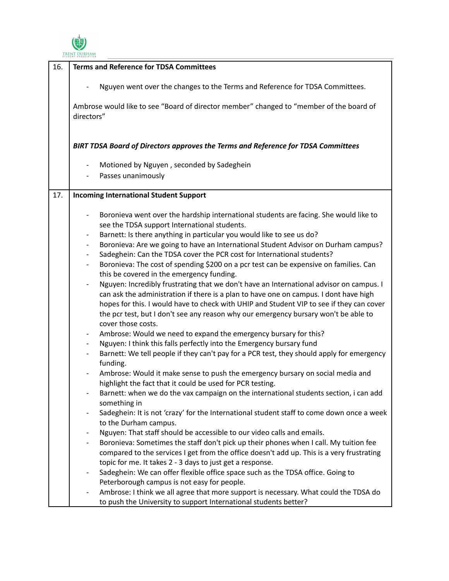

| 16. | <b>Terms and Reference for TDSA Committees</b>                                                                                                                                                                                                                                                                                                                                                                 |  |  |
|-----|----------------------------------------------------------------------------------------------------------------------------------------------------------------------------------------------------------------------------------------------------------------------------------------------------------------------------------------------------------------------------------------------------------------|--|--|
|     | Nguyen went over the changes to the Terms and Reference for TDSA Committees.                                                                                                                                                                                                                                                                                                                                   |  |  |
|     | Ambrose would like to see "Board of director member" changed to "member of the board of<br>directors"                                                                                                                                                                                                                                                                                                          |  |  |
|     | BIRT TDSA Board of Directors approves the Terms and Reference for TDSA Committees                                                                                                                                                                                                                                                                                                                              |  |  |
|     | Motioned by Nguyen, seconded by Sadeghein<br>$\qquad \qquad -$                                                                                                                                                                                                                                                                                                                                                 |  |  |
|     | Passes unanimously                                                                                                                                                                                                                                                                                                                                                                                             |  |  |
| 17. | <b>Incoming International Student Support</b>                                                                                                                                                                                                                                                                                                                                                                  |  |  |
|     | Boronieva went over the hardship international students are facing. She would like to<br>see the TDSA support International students.                                                                                                                                                                                                                                                                          |  |  |
|     | Barnett: Is there anything in particular you would like to see us do?<br>$\qquad \qquad \blacksquare$                                                                                                                                                                                                                                                                                                          |  |  |
|     | Boronieva: Are we going to have an International Student Advisor on Durham campus?<br>-                                                                                                                                                                                                                                                                                                                        |  |  |
|     | Sadeghein: Can the TDSA cover the PCR cost for International students?                                                                                                                                                                                                                                                                                                                                         |  |  |
|     | Boronieva: The cost of spending \$200 on a pcr test can be expensive on families. Can<br>$\qquad \qquad \blacksquare$<br>this be covered in the emergency funding.                                                                                                                                                                                                                                             |  |  |
|     | Nguyen: Incredibly frustrating that we don't have an International advisor on campus. I<br>$\qquad \qquad -$<br>can ask the administration if there is a plan to have one on campus. I dont have high<br>hopes for this. I would have to check with UHIP and Student VIP to see if they can cover<br>the pcr test, but I don't see any reason why our emergency bursary won't be able to<br>cover those costs. |  |  |
|     | Ambrose: Would we need to expand the emergency bursary for this?                                                                                                                                                                                                                                                                                                                                               |  |  |
|     | Nguyen: I think this falls perfectly into the Emergency bursary fund                                                                                                                                                                                                                                                                                                                                           |  |  |
|     | Barnett: We tell people if they can't pay for a PCR test, they should apply for emergency<br>$\overline{\phantom{a}}$<br>funding.                                                                                                                                                                                                                                                                              |  |  |
|     | Ambrose: Would it make sense to push the emergency bursary on social media and<br>highlight the fact that it could be used for PCR testing.                                                                                                                                                                                                                                                                    |  |  |
|     | Barnett: when we do the vax campaign on the international students section, i can add<br>something in                                                                                                                                                                                                                                                                                                          |  |  |
|     | Sadeghein: It is not 'crazy' for the International student staff to come down once a week<br>to the Durham campus.                                                                                                                                                                                                                                                                                             |  |  |
|     | Nguyen: That staff should be accessible to our video calls and emails.<br>-                                                                                                                                                                                                                                                                                                                                    |  |  |
|     | Boronieva: Sometimes the staff don't pick up their phones when I call. My tuition fee<br>compared to the services I get from the office doesn't add up. This is a very frustrating                                                                                                                                                                                                                             |  |  |
|     | topic for me. It takes 2 - 3 days to just get a response.<br>Sadeghein: We can offer flexible office space such as the TDSA office. Going to<br>$\qquad \qquad -$                                                                                                                                                                                                                                              |  |  |
|     | Peterborough campus is not easy for people.                                                                                                                                                                                                                                                                                                                                                                    |  |  |
|     | Ambrose: I think we all agree that more support is necessary. What could the TDSA do<br>to push the University to support International students better?                                                                                                                                                                                                                                                       |  |  |